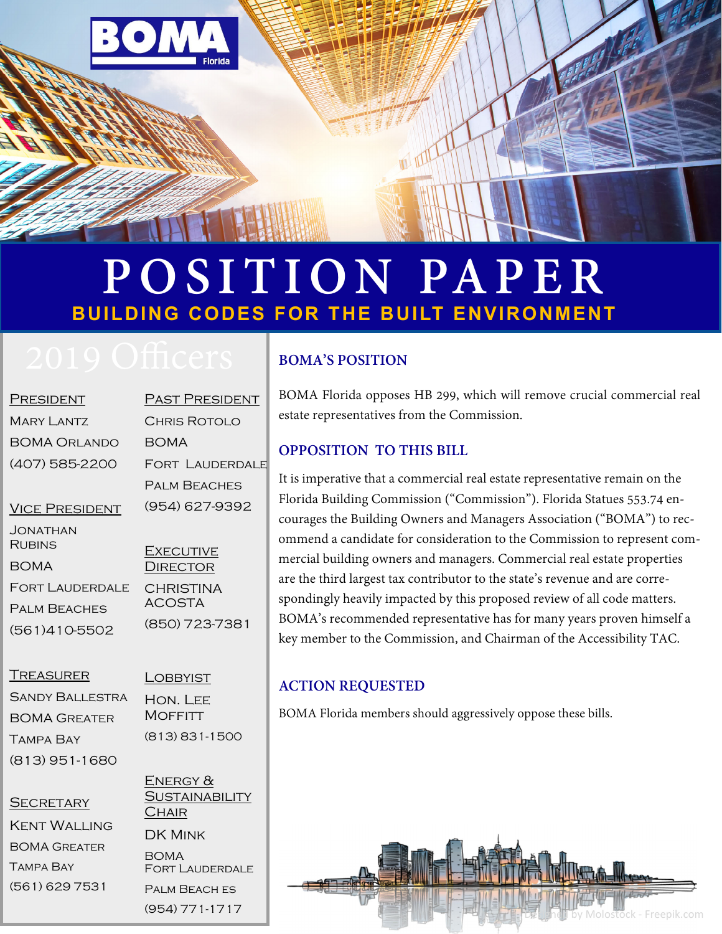

# **POSITION PAPER BUILDING CODES FOR THE BUILT ENVIRONMENT**

| PRESIDENT                 | PAS   |
|---------------------------|-------|
| Mary Lantz                | Снб   |
| <b>BOMA ORLANDO</b>       | BON   |
| (407) 585-2200            | FOR   |
|                           | Pali  |
| <b>VICE PRESIDENT</b>     | (954) |
| JONATHAN<br><b>RUBINS</b> | Fyf   |
|                           |       |

BOMA Fort Lauderdale Palm Beaches (561)410-5502

**T PRESIDENT** Chris Rotolo BOMA **T LAUDERDALE M BEACHES** 4) 627-9392 **CUTIVE** DIRECTOR **CHRISTINA** 

ACOSTA (850) 723-7381

#### **TREASURER**

Sandy Ballestra BOMA Greater Tampa Bay (813) 951-1680

**LOBBYIST** Hon. Lee **MOFFITT** (813) 831-1500

#### **SECRETARY**

Kent Walling BOMA Greater Tampa Bay (561) 629 7531

ENERGY & **SUSTAINABILITY CHAIR** 

Fort Lauderdale Palm Beach es (954) 771-1717

DK Mink

BOMA

### **BOMA'S POSITION**

BOMA Florida opposes HB 299, which will remove crucial commercial real estate representatives from the Commission.

#### **OPPOSITION TO THIS BILL**

It is imperative that a commercial real estate representative remain on the Florida Building Commission ("Commission"). Florida Statues 553.74 encourages the Building Owners and Managers Association ("BOMA") to recommend a candidate for consideration to the Commission to represent commercial building owners and managers. Commercial real estate properties are the third largest tax contributor to the state's revenue and are correspondingly heavily impacted by this proposed review of all code matters. BOMA's recommended representative has for many years proven himself a key member to the Commission, and Chairman of the Accessibility TAC.

#### **ACTION REQUESTED**

BOMA Florida members should aggressively oppose these bills.